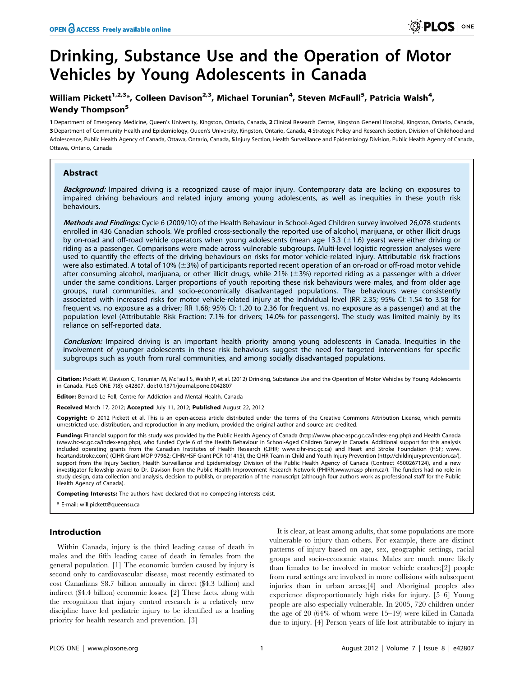# Drinking, Substance Use and the Operation of Motor Vehicles by Young Adolescents in Canada

# William Pickett $^{1,2,3_\ast}$ , Colleen Davison $^{2,3}$ , Michael Torunian $^4$ , Steven McFaull $^5$ , Patricia Walsh $^4$ , Wendy Thompson<sup>5</sup>

1 Department of Emergency Medicine, Queen's University, Kingston, Ontario, Canada, 2 Clinical Research Centre, Kingston General Hospital, Kingston, Ontario, Canada, 3 Department of Community Health and Epidemiology, Queen's University, Kingston, Ontario, Canada, 4 Strategic Policy and Research Section, Division of Childhood and Adolescence, Public Health Agency of Canada, Ottawa, Ontario, Canada, 5 Injury Section, Health Surveillance and Epidemiology Division, Public Health Agency of Canada, Ottawa, Ontario, Canada

## Abstract

Background: Impaired driving is a recognized cause of major injury. Contemporary data are lacking on exposures to impaired driving behaviours and related injury among young adolescents, as well as inequities in these youth risk behaviours.

Methods and Findings: Cycle 6 (2009/10) of the Health Behaviour in School-Aged Children survey involved 26,078 students enrolled in 436 Canadian schools. We profiled cross-sectionally the reported use of alcohol, marijuana, or other illicit drugs by on-road and off-road vehicle operators when young adolescents (mean age 13.3 ( $\pm$ 1.6) years) were either driving or riding as a passenger. Comparisons were made across vulnerable subgroups. Multi-level logistic regression analyses were used to quantify the effects of the driving behaviours on risks for motor vehicle-related injury. Attributable risk fractions were also estimated. A total of 10%  $(\pm 3)$  of participants reported recent operation of an on-road or off-road motor vehicle after consuming alcohol, marijuana, or other illicit drugs, while 21% ( $\pm$ 3%) reported riding as a passenger with a driver under the same conditions. Larger proportions of youth reporting these risk behaviours were males, and from older age groups, rural communities, and socio-economically disadvantaged populations. The behaviours were consistently associated with increased risks for motor vehicle-related injury at the individual level (RR 2.35; 95% CI: 1.54 to 3.58 for frequent vs. no exposure as a driver; RR 1.68; 95% CI: 1.20 to 2.36 for frequent vs. no exposure as a passenger) and at the population level (Attributable Risk Fraction: 7.1% for drivers; 14.0% for passengers). The study was limited mainly by its reliance on self-reported data.

Conclusion: Impaired driving is an important health priority among young adolescents in Canada. Inequities in the involvement of younger adolescents in these risk behaviours suggest the need for targeted interventions for specific subgroups such as youth from rural communities, and among socially disadvantaged populations.

Citation: Pickett W, Davison C, Torunian M, McFaull S, Walsh P, et al. (2012) Drinking, Substance Use and the Operation of Motor Vehicles by Young Adolescents in Canada. PLoS ONE 7(8): e42807. doi:10.1371/journal.pone.0042807

Editor: Bernard Le Foll, Centre for Addiction and Mental Health, Canada

Received March 17, 2012; Accepted July 11, 2012; Published August 22, 2012

Copyright: © 2012 Pickett et al. This is an open-access article distributed under the terms of the Creative Commons Attribution License, which permits unrestricted use, distribution, and reproduction in any medium, provided the original author and source are credited.

Funding: Financial support for this study was provided by the Public Health Agency of Canada (http://www.phac-aspc.gc.ca/index-eng.php) and Health Canada (www.hc-sc.gc.ca/index-eng.php), who funded Cycle 6 of the Health Behaviour in School-Aged Children Survey in Canada. Additional support for this analysis included operating grants from the Canadian Institutes of Health Research (CIHR; www.cihr-irsc.gc.ca) and Heart and Stroke Foundation (HSF; www. heartandstroke.com) (CIHR Grant MOP 97962; CIHR/HSF Grant PCR 101415), the CIHR Team in Child and Youth Injury Prevention (http://childinjuryprevention.ca/), support from the Injury Section, Health Surveillance and Epidemiology Division of the Public Health Agency of Canada (Contract 4500267124), and a new investigator fellowship award to Dr. Davison from the Public Health Improvement Research Network (PHIRN;www.rrasp-phirn.ca/). The funders had no role in study design, data collection and analysis, decision to publish, or preparation of the manuscript (although four authors work as professional staff for the Public Health Agency of Canada).

Competing Interests: The authors have declared that no competing interests exist.

\* E-mail: will.pickett@queensu.ca

#### Introduction

Within Canada, injury is the third leading cause of death in males and the fifth leading cause of death in females from the general population. [1] The economic burden caused by injury is second only to cardiovascular disease, most recently estimated to cost Canadians \$8.7 billion annually in direct (\$4.3 billion) and indirect (\$4.4 billion) economic losses. [2] These facts, along with the recognition that injury control research is a relatively new discipline have led pediatric injury to be identified as a leading priority for health research and prevention. [3]

It is clear, at least among adults, that some populations are more vulnerable to injury than others. For example, there are distinct patterns of injury based on age, sex, geographic settings, racial groups and socio-economic status. Males are much more likely than females to be involved in motor vehicle crashes;[2] people from rural settings are involved in more collisions with subsequent injuries than in urban areas;[4] and Aboriginal peoples also experience disproportionately high risks for injury. [5–6] Young people are also especially vulnerable. In 2005, 720 children under the age of 20 (64% of whom were 15–19) were killed in Canada due to injury. [4] Person years of life lost attributable to injury in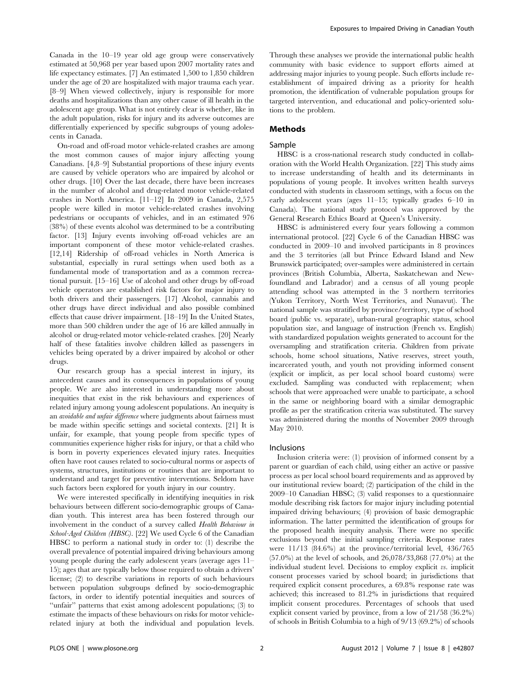Canada in the 10–19 year old age group were conservatively estimated at 50,968 per year based upon 2007 mortality rates and life expectancy estimates. [7] An estimated 1,500 to 1,850 children under the age of 20 are hospitalized with major trauma each year. [8–9] When viewed collectively, injury is responsible for more deaths and hospitalizations than any other cause of ill health in the adolescent age group. What is not entirely clear is whether, like in the adult population, risks for injury and its adverse outcomes are differentially experienced by specific subgroups of young adolescents in Canada.

On-road and off-road motor vehicle-related crashes are among the most common causes of major injury affecting young Canadians. [4,8–9] Substantial proportions of these injury events are caused by vehicle operators who are impaired by alcohol or other drugs. [10] Over the last decade, there have been increases in the number of alcohol and drug-related motor vehicle-related crashes in North America. [11–12] In 2009 in Canada, 2,575 people were killed in motor vehicle-related crashes involving pedestrians or occupants of vehicles, and in an estimated 976 (38%) of these events alcohol was determined to be a contributing factor. [13] Injury events involving off-road vehicles are an important component of these motor vehicle-related crashes. [12,14] Ridership of off-road vehicles in North America is substantial, especially in rural settings when used both as a fundamental mode of transportation and as a common recreational pursuit. [15–16] Use of alcohol and other drugs by off-road vehicle operators are established risk factors for major injury to both drivers and their passengers. [17] Alcohol, cannabis and other drugs have direct individual and also possible combined effects that cause driver impairment. [18–19] In the United States, more than 500 children under the age of 16 are killed annually in alcohol or drug-related motor vehicle-related crashes. [20] Nearly half of these fatalities involve children killed as passengers in vehicles being operated by a driver impaired by alcohol or other drugs.

Our research group has a special interest in injury, its antecedent causes and its consequences in populations of young people. We are also interested in understanding more about inequities that exist in the risk behaviours and experiences of related injury among young adolescent populations. An inequity is an avoidable and unfair difference where judgments about fairness must be made within specific settings and societal contexts. [21] It is unfair, for example, that young people from specific types of communities experience higher risks for injury, or that a child who is born in poverty experiences elevated injury rates. Inequities often have root causes related to socio-cultural norms or aspects of systems, structures, institutions or routines that are important to understand and target for preventive interventions. Seldom have such factors been explored for youth injury in our country.

We were interested specifically in identifying inequities in risk behaviours between different socio-demographic groups of Canadian youth. This interest area has been fostered through our involvement in the conduct of a survey called Health Behaviour in School-Aged Children (HBSC). [22] We used Cycle 6 of the Canadian HBSC to perform a national study in order to: (1) describe the overall prevalence of potential impaired driving behaviours among young people during the early adolescent years (average ages 11– 15); ages that are typically below those required to obtain a drivers' license; (2) to describe variations in reports of such behaviours between population subgroups defined by socio-demographic factors, in order to identify potential inequities and sources of "unfair" patterns that exist among adolescent populations; (3) to estimate the impacts of these behaviours on risks for motor vehiclerelated injury at both the individual and population levels.

Through these analyses we provide the international public health community with basic evidence to support efforts aimed at addressing major injuries to young people. Such efforts include reestablishment of impaired driving as a priority for health promotion, the identification of vulnerable population groups for targeted intervention, and educational and policy-oriented solutions to the problem.

#### Methods

#### Sample

HBSC is a cross-national research study conducted in collaboration with the World Health Organization. [22] This study aims to increase understanding of health and its determinants in populations of young people. It involves written health surveys conducted with students in classroom settings, with a focus on the early adolescent years (ages 11–15; typically grades 6–10 in Canada). The national study protocol was approved by the General Research Ethics Board at Queen's University.

HBSC is administered every four years following a common international protocol. [22] Cycle 6 of the Canadian HBSC was conducted in 2009–10 and involved participants in 8 provinces and the 3 territories (all but Prince Edward Island and New Brunswick participated; over-samples were administered in certain provinces (British Columbia, Alberta, Saskatchewan and Newfoundland and Labrador) and a census of all young people attending school was attempted in the 3 northern territories (Yukon Territory, North West Territories, and Nunavut). The national sample was stratified by province/territory, type of school board (public vs. separate), urban-rural geographic status, school population size, and language of instruction (French vs. English) with standardized population weights generated to account for the oversampling and stratification criteria. Children from private schools, home school situations, Native reserves, street youth, incarcerated youth, and youth not providing informed consent (explicit or implicit, as per local school board customs) were excluded. Sampling was conducted with replacement; when schools that were approached were unable to participate, a school in the same or neighboring board with a similar demographic profile as per the stratification criteria was substituted. The survey was administered during the months of November 2009 through May 2010.

#### Inclusions

Inclusion criteria were: (1) provision of informed consent by a parent or guardian of each child, using either an active or passive process as per local school board requirements and as approved by our institutional review board; (2) participation of the child in the 2009–10 Canadian HBSC; (3) valid responses to a questionnaire module describing risk factors for major injury including potential impaired driving behaviours; (4) provision of basic demographic information. The latter permitted the identification of groups for the proposed health inequity analysis. There were no specific exclusions beyond the initial sampling criteria. Response rates were 11/13 (84.6%) at the province/territorial level, 436/765 (57.0%) at the level of schools, and 26,078/33,868 (77.0%) at the individual student level. Decisions to employ explicit vs. implicit consent processes varied by school board; in jurisdictions that required explicit consent procedures, a 69.8% response rate was achieved; this increased to 81.2% in jurisdictions that required implicit consent procedures. Percentages of schools that used explicit consent varied by province, from a low of 21/58 (36.2%) of schools in British Columbia to a high of 9/13 (69.2%) of schools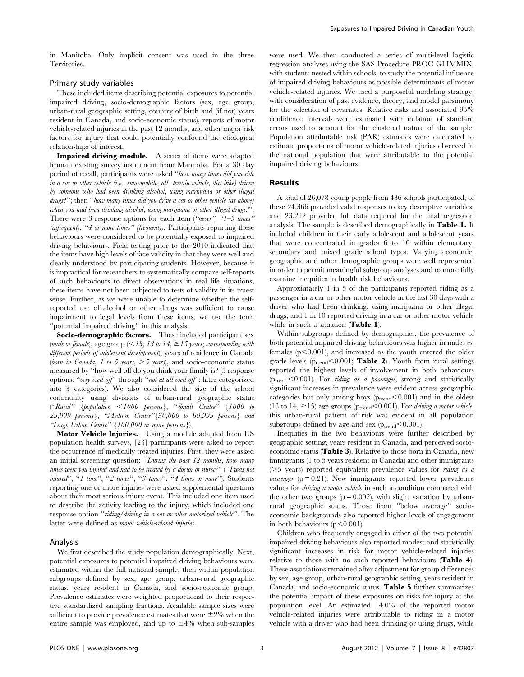in Manitoba. Only implicit consent was used in the three Territories.

## Primary study variables

These included items describing potential exposures to potential impaired driving, socio-demographic factors (sex, age group, urban-rural geographic setting, country of birth and (if not) years resident in Canada, and socio-economic status), reports of motor vehicle-related injuries in the past 12 months, and other major risk factors for injury that could potentially confound the etiological relationships of interest.

Impaired driving module. A series of items were adapted froman existing survey instrument from Manitoba. For a 30 day period of recall, participants were asked ''how many times did you ride in a car or other vehicle (i.e., snowmobile, all- terrain vehicle, dirt bike) driven by someone who had been drinking alcohol, using marijuana or other illegal drugs?''; then ''how many times did you drive a car or other vehicle (as above) when you had been drinking alcohol, using marijuana or other illegal drugs.<sup>"</sup>. There were 3 response options for each item ("never", " $1-3$  times" (infrequent), "4 or more times" (frequent)). Participants reporting these behaviours were considered to be potentially exposed to impaired driving behaviours. Field testing prior to the 2010 indicated that the items have high levels of face validity in that they were well and clearly understood by participating students. However, because it is impractical for researchers to systematically compare self-reports of such behaviours to direct observations in real life situations, these items have not been subjected to tests of validity in its truest sense. Further, as we were unable to determine whether the selfreported use of alcohol or other drugs was sufficient to cause impairment to legal levels from these items, we use the term ''potential impaired driving'' in this analysis.

Socio-demographic factors. These included participant sex (male or female), age group (<13, 13 to 14,  $\geq$ 15 years; corresponding with different periods of adolescent development), years of residence in Canada (born in Canada, 1 to 5 years,  $>$  5 years), and socio-economic status measured by ''how well off do you think your family is? (5 response options: ''very well off'' through ''not at all well off''; later categorized into 3 categories). We also considered the size of the school community using divisions of urban-rural geographic status (''Rural'' {population ,1000 persons}, ''Small Centre'' {1000 to 29,999 persons}, ''Medium Centre''{30,000 to 99,999 persons} and "Large Urban Centre" {100,000 or more persons}).

Motor Vehicle Injuries. Using a module adapted from US population health surveys, [23] participants were asked to report the occurrence of medically treated injuries. First, they were asked an initial screening question: ''During the past 12 months, how many times were you injured and had to be treated by a doctor or nurse."' ("I was not injured'', ''1 time'', ''2 times'', ''3 times'', ''4 times or more''). Students reporting one or more injuries were asked supplemental questions about their most serious injury event. This included one item used to describe the activity leading to the injury, which included one response option "riding/driving in a car or other motorized vehicle". The latter were defined as motor vehicle-related injuries.

#### Analysis

We first described the study population demographically. Next, potential exposures to potential impaired driving behaviours were estimated within the full national sample, then within population subgroups defined by sex, age group, urban-rural geographic status, years resident in Canada, and socio-economic group. Prevalence estimates were weighted proportional to their respective standardized sampling fractions. Available sample sizes were sufficient to provide prevalence estimates that were  $\pm 2\%$  when the entire sample was employed, and up to  $\pm 4\%$  when sub-samples were used. We then conducted a series of multi-level logistic regression analyses using the SAS Procedure PROC GLIMMIX, with students nested within schools, to study the potential influence of impaired driving behaviours as possible determinants of motor vehicle-related injuries. We used a purposeful modeling strategy, with consideration of past evidence, theory, and model parsimony for the selection of covariates. Relative risks and associated 95% confidence intervals were estimated with inflation of standard errors used to account for the clustered nature of the sample. Population attributable risk (PAR) estimates were calculated to estimate proportions of motor vehicle-related injuries observed in the national population that were attributable to the potential impaired driving behaviours.

#### Results

A total of 26,078 young people from 436 schools participated; of these 24,366 provided valid responses to key descriptive variables, and 23,212 provided full data required for the final regression analysis. The sample is described demographically in Table 1. It included children in their early adolescent and adolescent years that were concentrated in grades 6 to 10 within elementary, secondary and mixed grade school types. Varying economic, geographic and other demographic groups were well represented in order to permit meaningful subgroup analyses and to more fully examine inequities in health risk behaviours.

Approximately 1 in 5 of the participants reported riding as a passenger in a car or other motor vehicle in the last 30 days with a driver who had been drinking, using marijuana or other illegal drugs, and 1 in 10 reported driving in a car or other motor vehicle while in such a situation (Table 1).

Within subgroups defined by demographics, the prevalence of both potential impaired driving behaviours was higher in males vs. females  $(p<0.001)$ , and increased as the youth entered the older grade levels ( $p_{trend}$ <0.001; Table 2). Youth from rural settings reported the highest levels of involvement in both behaviours  $(p_{\text{trend}} < 0.001)$ . For *riding as a passenger*, strong and statistically significant increases in prevalence were evident across geographic categories but only among boys  $(p_{trend} < 0.001)$  and in the oldest (13 to 14,  ${\geq}15)$  age groups (p $_{\rm{trend}}{<}0.001$ ). For driving a motor vehicle, this urban-rural pattern of risk was evident in all population subgroups defined by age and sex ( $p_{\mathrm{trend}}$ <0.001).

Inequities in the two behaviours were further described by geographic setting, years resident in Canada, and perceived socioeconomic status (Table 3). Relative to those born in Canada, new immigrants (1 to 5 years resident in Canada) and other immigrants  $($ >5 years) reported equivalent prevalence values for *riding as a passenger* ( $p = 0.21$ ). New immigrants reported lower prevalence values for *driving a motor vehicle* in such a condition compared with the other two groups  $(p = 0.002)$ , with slight variation by urbanrural geographic status. Those from ''below average'' socioeconomic backgrounds also reported higher levels of engagement in both behaviours  $(p<0.001)$ .

Children who frequently engaged in either of the two potential impaired driving behaviours also reported modest and statistically significant increases in risk for motor vehicle-related injuries relative to those with no such reported behaviours (Table 4). These associations remained after adjustment for group differences by sex, age group, urban-rural geographic setting, years resident in Canada, and socio-economic status. Table 5 further summarizes the potential impact of these exposures on risks for injury at the population level. An estimated 14.0% of the reported motor vehicle-related injuries were attributable to riding in a motor vehicle with a driver who had been drinking or using drugs, while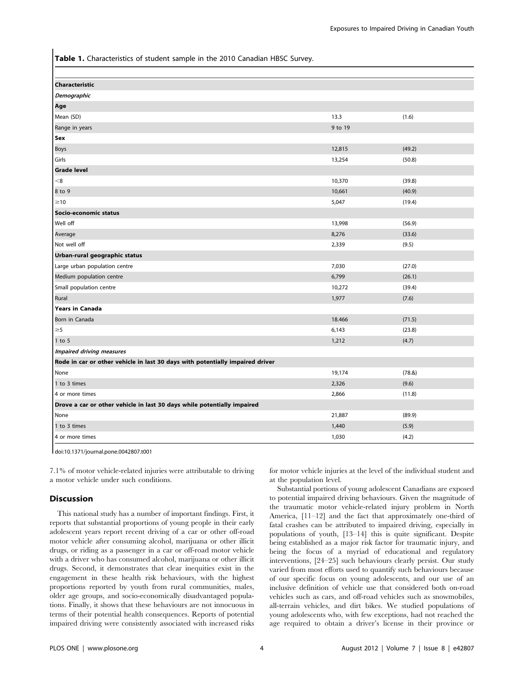Table 1. Characteristics of student sample in the 2010 Canadian HBSC Survey.

| (1.6)<br>13.3<br>9 to 19<br>(49.2)<br>12,815<br>13,254<br>(50.8)<br>< 8<br>(39.8)<br>10,370<br>(40.9)<br>10,661<br>5,047<br>(19.4)<br>13,998<br>(56.9)<br>8,276<br>(33.6)<br>2,339<br>(9.5)<br>(27.0)<br>7,030<br>6,799<br>(26.1)<br>(39.4)<br>10,272<br>1,977<br>(7.6)<br>(71.5)<br>18.466<br>(23.8)<br>6,143<br>(4.7)<br>1,212<br>19,174<br>(78.8)<br>2,326<br>(9.6)<br>2,866<br>(11.8) |                                                                               |  |  |  |  |  |  |  |
|-------------------------------------------------------------------------------------------------------------------------------------------------------------------------------------------------------------------------------------------------------------------------------------------------------------------------------------------------------------------------------------------|-------------------------------------------------------------------------------|--|--|--|--|--|--|--|
|                                                                                                                                                                                                                                                                                                                                                                                           | Characteristic                                                                |  |  |  |  |  |  |  |
|                                                                                                                                                                                                                                                                                                                                                                                           | Demographic                                                                   |  |  |  |  |  |  |  |
|                                                                                                                                                                                                                                                                                                                                                                                           | Age                                                                           |  |  |  |  |  |  |  |
|                                                                                                                                                                                                                                                                                                                                                                                           | Mean (SD)                                                                     |  |  |  |  |  |  |  |
|                                                                                                                                                                                                                                                                                                                                                                                           | Range in years                                                                |  |  |  |  |  |  |  |
|                                                                                                                                                                                                                                                                                                                                                                                           | Sex                                                                           |  |  |  |  |  |  |  |
|                                                                                                                                                                                                                                                                                                                                                                                           | <b>Boys</b>                                                                   |  |  |  |  |  |  |  |
|                                                                                                                                                                                                                                                                                                                                                                                           | Girls                                                                         |  |  |  |  |  |  |  |
|                                                                                                                                                                                                                                                                                                                                                                                           | <b>Grade level</b>                                                            |  |  |  |  |  |  |  |
|                                                                                                                                                                                                                                                                                                                                                                                           |                                                                               |  |  |  |  |  |  |  |
|                                                                                                                                                                                                                                                                                                                                                                                           | 8 to 9                                                                        |  |  |  |  |  |  |  |
|                                                                                                                                                                                                                                                                                                                                                                                           | $\geq 10$                                                                     |  |  |  |  |  |  |  |
|                                                                                                                                                                                                                                                                                                                                                                                           | Socio-economic status                                                         |  |  |  |  |  |  |  |
|                                                                                                                                                                                                                                                                                                                                                                                           | Well off                                                                      |  |  |  |  |  |  |  |
|                                                                                                                                                                                                                                                                                                                                                                                           | Average                                                                       |  |  |  |  |  |  |  |
|                                                                                                                                                                                                                                                                                                                                                                                           | Not well off                                                                  |  |  |  |  |  |  |  |
|                                                                                                                                                                                                                                                                                                                                                                                           | Urban-rural geographic status                                                 |  |  |  |  |  |  |  |
|                                                                                                                                                                                                                                                                                                                                                                                           | Large urban population centre                                                 |  |  |  |  |  |  |  |
|                                                                                                                                                                                                                                                                                                                                                                                           | Medium population centre                                                      |  |  |  |  |  |  |  |
|                                                                                                                                                                                                                                                                                                                                                                                           | Small population centre                                                       |  |  |  |  |  |  |  |
|                                                                                                                                                                                                                                                                                                                                                                                           | Rural                                                                         |  |  |  |  |  |  |  |
|                                                                                                                                                                                                                                                                                                                                                                                           | Years in Canada                                                               |  |  |  |  |  |  |  |
|                                                                                                                                                                                                                                                                                                                                                                                           | Born in Canada                                                                |  |  |  |  |  |  |  |
|                                                                                                                                                                                                                                                                                                                                                                                           | $\geq 5$                                                                      |  |  |  |  |  |  |  |
|                                                                                                                                                                                                                                                                                                                                                                                           | $1$ to $5$                                                                    |  |  |  |  |  |  |  |
|                                                                                                                                                                                                                                                                                                                                                                                           | Impaired driving measures                                                     |  |  |  |  |  |  |  |
|                                                                                                                                                                                                                                                                                                                                                                                           | Rode in car or other vehicle in last 30 days with potentially impaired driver |  |  |  |  |  |  |  |
|                                                                                                                                                                                                                                                                                                                                                                                           | None                                                                          |  |  |  |  |  |  |  |
|                                                                                                                                                                                                                                                                                                                                                                                           | 1 to 3 times                                                                  |  |  |  |  |  |  |  |
|                                                                                                                                                                                                                                                                                                                                                                                           | 4 or more times                                                               |  |  |  |  |  |  |  |
| Drove a car or other vehicle in last 30 days while potentially impaired                                                                                                                                                                                                                                                                                                                   |                                                                               |  |  |  |  |  |  |  |
| (89.9)<br>21,887                                                                                                                                                                                                                                                                                                                                                                          | None                                                                          |  |  |  |  |  |  |  |
| 1,440<br>(5.9)                                                                                                                                                                                                                                                                                                                                                                            | 1 to 3 times                                                                  |  |  |  |  |  |  |  |
| 1,030<br>(4.2)                                                                                                                                                                                                                                                                                                                                                                            | 4 or more times                                                               |  |  |  |  |  |  |  |

doi:10.1371/journal.pone.0042807.t001

7.1% of motor vehicle-related injuries were attributable to driving a motor vehicle under such conditions.

# **Discussion**

This national study has a number of important findings. First, it reports that substantial proportions of young people in their early adolescent years report recent driving of a car or other off-road motor vehicle after consuming alcohol, marijuana or other illicit drugs, or riding as a passenger in a car or off-road motor vehicle with a driver who has consumed alcohol, marijuana or other illicit drugs. Second, it demonstrates that clear inequities exist in the engagement in these health risk behaviours, with the highest proportions reported by youth from rural communities, males, older age groups, and socio-economically disadvantaged populations. Finally, it shows that these behaviours are not innocuous in terms of their potential health consequences. Reports of potential impaired driving were consistently associated with increased risks for motor vehicle injuries at the level of the individual student and at the population level.

Substantial portions of young adolescent Canadians are exposed to potential impaired driving behaviours. Given the magnitude of the traumatic motor vehicle-related injury problem in North America, [11–12] and the fact that approximately one-third of fatal crashes can be attributed to impaired driving, especially in populations of youth, [13–14] this is quite significant. Despite being established as a major risk factor for traumatic injury, and being the focus of a myriad of educational and regulatory interventions, [24–25] such behaviours clearly persist. Our study varied from most efforts used to quantify such behaviours because of our specific focus on young adolescents, and our use of an inclusive definition of vehicle use that considered both on-road vehicles such as cars, and off-road vehicles such as snowmobiles, all-terrain vehicles, and dirt bikes. We studied populations of young adolescents who, with few exceptions, had not reached the age required to obtain a driver's license in their province or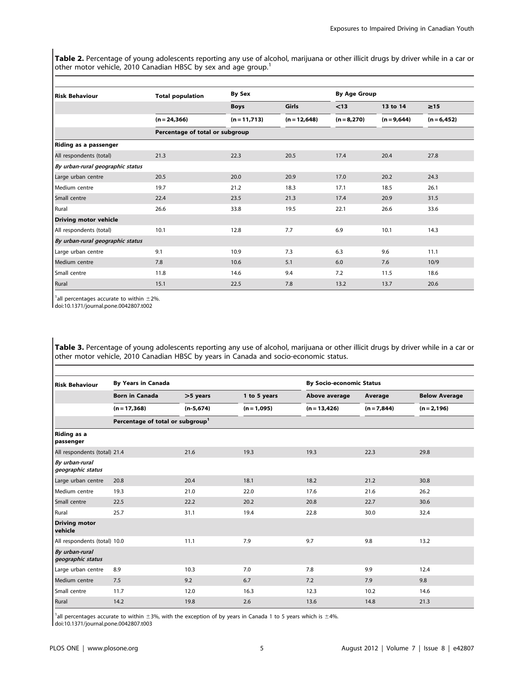Table 2. Percentage of young adolescents reporting any use of alcohol, marijuana or other illicit drugs by driver while in a car or other motor vehicle, 2010 Canadian HBSC by sex and age group.<sup>1</sup>

| <b>Risk Behaviour</b>            | <b>Total population</b>         | <b>By Sex</b>   |                | <b>By Age Group</b> |               |                |  |  |
|----------------------------------|---------------------------------|-----------------|----------------|---------------------|---------------|----------------|--|--|
|                                  |                                 | <b>Boys</b>     | Girls          | < 13                | 13 to 14      | $\geq 15$      |  |  |
|                                  | $(n = 24, 366)$                 | $(n = 11, 713)$ | $(n = 12,648)$ | $(n = 8, 270)$      | $(n = 9,644)$ | $(n = 6, 452)$ |  |  |
|                                  | Percentage of total or subgroup |                 |                |                     |               |                |  |  |
| Riding as a passenger            |                                 |                 |                |                     |               |                |  |  |
| All respondents (total)          | 21.3                            | 22.3            | 20.5           | 17.4                | 20.4          | 27.8           |  |  |
| By urban-rural geographic status |                                 |                 |                |                     |               |                |  |  |
| Large urban centre               | 20.5                            | 20.0            | 20.9           | 17.0                | 20.2          | 24.3           |  |  |
| Medium centre                    | 19.7                            | 21.2            | 18.3           | 17.1                | 18.5          | 26.1           |  |  |
| Small centre                     | 22.4                            | 23.5            | 21.3           | 17.4                | 20.9          | 31.5           |  |  |
| Rural                            | 26.6                            | 33.8            | 19.5           | 22.1                | 26.6          | 33.6           |  |  |
| <b>Driving motor vehicle</b>     |                                 |                 |                |                     |               |                |  |  |
| All respondents (total)          | 10.1                            | 12.8            | 7.7            | 6.9                 | 10.1          | 14.3           |  |  |
| By urban-rural geographic status |                                 |                 |                |                     |               |                |  |  |
| Large urban centre               | 9.1                             | 10.9            | 7.3            | 6.3                 | 9.6           | 11.1           |  |  |
| Medium centre                    | 7.8                             | 10.6            | 5.1            | 6.0                 | 7.6           | 10/9           |  |  |
| Small centre                     | 11.8                            | 14.6            | 9.4            | 7.2                 | 11.5          | 18.6           |  |  |
| Rural                            | 15.1                            | 22.5            | 7.8            | 13.2                | 13.7          | 20.6           |  |  |

 $1$ all percentages accurate to within  $\pm 2\%$ .

doi:10.1371/journal.pone.0042807.t002

Table 3. Percentage of young adolescents reporting any use of alcohol, marijuana or other illicit drugs by driver while in a car or other motor vehicle, 2010 Canadian HBSC by years in Canada and socio-economic status.

| <b>Risk Behaviour</b>               | <b>By Years in Canada</b>                    |             |               |                | <b>By Socio-economic Status</b> |                      |  |  |
|-------------------------------------|----------------------------------------------|-------------|---------------|----------------|---------------------------------|----------------------|--|--|
|                                     | <b>Born in Canada</b>                        | >5 years    | 1 to 5 years  | Above average  | Average                         | <b>Below Average</b> |  |  |
|                                     | $(n = 17,368)$                               | $(n-5,674)$ | $(n = 1,095)$ | $(n = 13,426)$ | $(n = 7,844)$                   | $(n = 2, 196)$       |  |  |
|                                     | Percentage of total or subgroup <sup>1</sup> |             |               |                |                                 |                      |  |  |
| Riding as a<br>passenger            |                                              |             |               |                |                                 |                      |  |  |
| All respondents (total) 21.4        |                                              | 21.6        | 19.3          | 19.3           | 22.3                            | 29.8                 |  |  |
| By urban-rural<br>geographic status |                                              |             |               |                |                                 |                      |  |  |
| Large urban centre                  | 20.8                                         | 20.4        | 18.1          | 18.2           | 21.2                            | 30.8                 |  |  |
| Medium centre                       | 19.3                                         | 21.0        | 22.0          | 17.6           | 21.6                            | 26.2                 |  |  |
| Small centre                        | 22.5                                         | 22.2        | 20.2          | 20.8           | 22.7                            | 30.6                 |  |  |
| Rural                               | 25.7                                         | 31.1        | 19.4          | 22.8           | 30.0                            | 32.4                 |  |  |
| <b>Driving motor</b><br>vehicle     |                                              |             |               |                |                                 |                      |  |  |
| All respondents (total) 10.0        |                                              | 11.1        | 7.9           | 9.7            | 9.8                             | 13.2                 |  |  |
| By urban-rural<br>geographic status |                                              |             |               |                |                                 |                      |  |  |
| Large urban centre                  | 8.9                                          | 10.3        | 7.0           | 7.8            | 9.9                             | 12.4                 |  |  |
| Medium centre                       | 7.5                                          | 9.2         | 6.7           | 7.2            | 7.9                             | 9.8                  |  |  |
| Small centre                        | 11.7                                         | 12.0        | 16.3          | 12.3           | 10.2                            | 14.6                 |  |  |
| Rural                               | 14.2                                         | 19.8        | 2.6           | 13.6           | 14.8                            | 21.3                 |  |  |

 $1$ all percentages accurate to within  $\pm 3$ %, with the exception of by years in Canada 1 to 5 years which is  $\pm 4$ %.

doi:10.1371/journal.pone.0042807.t003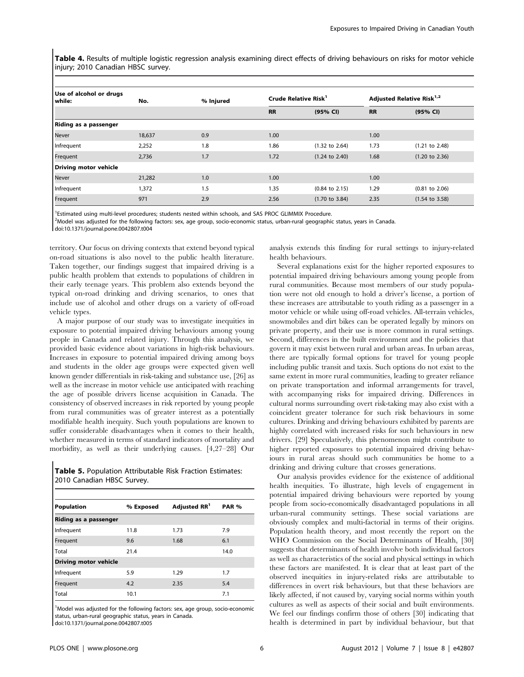Table 4. Results of multiple logistic regression analysis examining direct effects of driving behaviours on risks for motor vehicle injury; 2010 Canadian HBSC survey.

| Use of alcohol or drugs<br>while: | No.    | % Injured | Crude Relative Risk <sup>1</sup> |                           | Adjusted Relative Risk <sup>1,2</sup> |                           |
|-----------------------------------|--------|-----------|----------------------------------|---------------------------|---------------------------------------|---------------------------|
|                                   |        |           | <b>RR</b>                        | (95% CI)                  | <b>RR</b>                             | (95% CI)                  |
| Riding as a passenger             |        |           |                                  |                           |                                       |                           |
| <b>Never</b>                      | 18,637 | 0.9       | 1.00                             |                           | 1.00                                  |                           |
| Infrequent                        | 2,252  | 1.8       | 1.86                             | $(1.32 \text{ to } 2.64)$ | 1.73                                  | $(1.21$ to 2.48)          |
| Frequent                          | 2,736  | 1.7       | 1.72                             | $(1.24 \text{ to } 2.40)$ | 1.68                                  | $(1.20 \text{ to } 2.36)$ |
| Driving motor vehicle             |        |           |                                  |                           |                                       |                           |
| <b>Never</b>                      | 21,282 | 1.0       | 1.00                             |                           | 1.00                                  |                           |
| Infrequent                        | 1,372  | 1.5       | 1.35                             | $(0.84 \text{ to } 2.15)$ | 1.29                                  | $(0.81$ to $2.06)$        |
| Frequent                          | 971    | 2.9       | 2.56                             | $(1.70 \text{ to } 3.84)$ | 2.35                                  | $(1.54 \text{ to } 3.58)$ |

<sup>1</sup>Estimated using multi-level procedures; students nested within schools, and SAS PROC GLIMMIX Procedure.

2 Model was adjusted for the following factors: sex, age group, socio-economic status, urban-rural geographic status, years in Canada.

doi:10.1371/journal.pone.0042807.t004

territory. Our focus on driving contexts that extend beyond typical on-road situations is also novel to the public health literature. Taken together, our findings suggest that impaired driving is a public health problem that extends to populations of children in their early teenage years. This problem also extends beyond the typical on-road drinking and driving scenarios, to ones that include use of alcohol and other drugs on a variety of off-road vehicle types.

A major purpose of our study was to investigate inequities in exposure to potential impaired driving behaviours among young people in Canada and related injury. Through this analysis, we provided basic evidence about variations in high-risk behaviours. Increases in exposure to potential impaired driving among boys and students in the older age groups were expected given well known gender differentials in risk-taking and substance use, [26] as well as the increase in motor vehicle use anticipated with reaching the age of possible drivers license acquisition in Canada. The consistency of observed increases in risk reported by young people from rural communities was of greater interest as a potentially modifiable health inequity. Such youth populations are known to suffer considerable disadvantages when it comes to their health, whether measured in terms of standard indicators of mortality and morbidity, as well as their underlying causes. [4,27–28] Our

Table 5. Population Attributable Risk Fraction Estimates: 2010 Canadian HBSC Survey.

| <b>Population</b>            | % Exposed | Adjusted RR <sup>1</sup> | <b>PAR %</b> |
|------------------------------|-----------|--------------------------|--------------|
| <b>Riding as a passenger</b> |           |                          |              |
| Infrequent                   | 11.8      | 1.73                     | 7.9          |
| Frequent                     | 9.6       | 1.68                     | 6.1          |
| Total                        | 21.4      |                          | 14.0         |
| <b>Driving motor vehicle</b> |           |                          |              |
| Infrequent                   | 5.9       | 1.29                     | 1.7          |
| Frequent                     | 4.2       | 2.35                     | 5.4          |
| Total                        | 10.1      |                          | 7.1          |

<sup>1</sup>Model was adjusted for the following factors: sex, age group, socio-economic status, urban-rural geographic status, years in Canada. doi:10.1371/journal.pone.0042807.t005

analysis extends this finding for rural settings to injury-related health behaviours.

Several explanations exist for the higher reported exposures to potential impaired driving behaviours among young people from rural communities. Because most members of our study population were not old enough to hold a driver's license, a portion of these increases are attributable to youth riding as a passenger in a motor vehicle or while using off-road vehicles. All-terrain vehicles, snowmobiles and dirt bikes can be operated legally by minors on private property, and their use is more common in rural settings. Second, differences in the built environment and the policies that govern it may exist between rural and urban areas. In urban areas, there are typically formal options for travel for young people including public transit and taxis. Such options do not exist to the same extent in more rural communities, leading to greater reliance on private transportation and informal arrangements for travel, with accompanying risks for impaired driving. Differences in cultural norms surrounding overt risk-taking may also exist with a coincident greater tolerance for such risk behaviours in some cultures. Drinking and driving behaviours exhibited by parents are highly correlated with increased risks for such behaviours in new drivers. [29] Speculatively, this phenomenon might contribute to higher reported exposures to potential impaired driving behaviours in rural areas should such communities be home to a drinking and driving culture that crosses generations.

Our analysis provides evidence for the existence of additional health inequities. To illustrate, high levels of engagement in potential impaired driving behaviours were reported by young people from socio-economically disadvantaged populations in all urban-rural community settings. These social variations are obviously complex and multi-factorial in terms of their origins. Population health theory, and most recently the report on the WHO Commission on the Social Determinants of Health, [30] suggests that determinants of health involve both individual factors as well as characteristics of the social and physical settings in which these factors are manifested. It is clear that at least part of the observed inequities in injury-related risks are attributable to differences in overt risk behaviours, but that these behaviors are likely affected, if not caused by, varying social norms within youth cultures as well as aspects of their social and built environments. We feel our findings confirm those of others [30] indicating that health is determined in part by individual behaviour, but that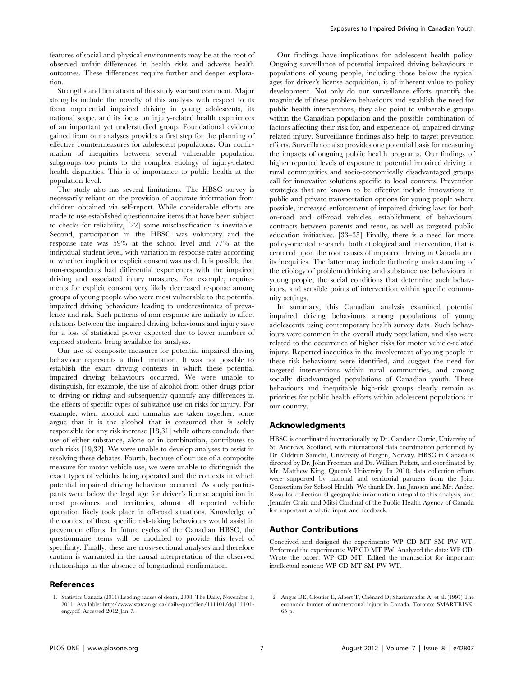features of social and physical environments may be at the root of observed unfair differences in health risks and adverse health outcomes. These differences require further and deeper exploration.

Strengths and limitations of this study warrant comment. Major strengths include the novelty of this analysis with respect to its focus onpotential impaired driving in young adolescents, its national scope, and its focus on injury-related health experiences of an important yet understudied group. Foundational evidence gained from our analyses provides a first step for the planning of effective countermeasures for adolescent populations. Our confirmation of inequities between several vulnerable population subgroups too points to the complex etiology of injury-related health disparities. This is of importance to public health at the population level.

The study also has several limitations. The HBSC survey is necessarily reliant on the provision of accurate information from children obtained via self-report. While considerable efforts are made to use established questionnaire items that have been subject to checks for reliability, [22] some misclassification is inevitable. Second, participation in the HBSC was voluntary and the response rate was 59% at the school level and 77% at the individual student level, with variation in response rates according to whether implicit or explicit consent was used. It is possible that non-respondents had differential experiences with the impaired driving and associated injury measures. For example, requirements for explicit consent very likely decreased response among groups of young people who were most vulnerable to the potential impaired driving behaviours leading to underestimates of prevalence and risk. Such patterns of non-response are unlikely to affect relations between the impaired driving behaviours and injury save for a loss of statistical power expected due to lower numbers of exposed students being available for analysis.

Our use of composite measures for potential impaired driving behaviour represents a third limitation. It was not possible to establish the exact driving contexts in which these potential impaired driving behaviours occurred. We were unable to distinguish, for example, the use of alcohol from other drugs prior to driving or riding and subsequently quantify any differences in the effects of specific types of substance use on risks for injury. For example, when alcohol and cannabis are taken together, some argue that it is the alcohol that is consumed that is solely responsible for any risk increase [18,31] while others conclude that use of either substance, alone or in combination, contributes to such risks [19,32]. We were unable to develop analyses to assist in resolving these debates. Fourth, because of our use of a composite measure for motor vehicle use, we were unable to distinguish the exact types of vehicles being operated and the contexts in which potential impaired driving behaviour occurred. As study participants were below the legal age for driver's license acquisition in most provinces and territories, almost all reported vehicle operation likely took place in off-road situations. Knowledge of the context of these specific risk-taking behaviours would assist in prevention efforts. In future cycles of the Canadian HBSC, the questionnaire items will be modified to provide this level of specificity. Finally, these are cross-sectional analyses and therefore caution is warranted in the causal interpretation of the observed relationships in the absence of longitudinal confirmation.

# References

1. Statistics Canada (2011) Leading causes of death, 2008. The Daily, November 1, 2011. Available: http://www.statcan.gc.ca/daily-quotidien/111101/dq111101 eng.pdf. Accessed 2012 Jan 7.

Our findings have implications for adolescent health policy. Ongoing surveillance of potential impaired driving behaviours in populations of young people, including those below the typical ages for driver's license acquisition, is of inherent value to policy development. Not only do our surveillance efforts quantify the magnitude of these problem behaviours and establish the need for public health interventions, they also point to vulnerable groups within the Canadian population and the possible combination of factors affecting their risk for, and experience of, impaired driving related injury. Surveillance findings also help to target prevention efforts. Surveillance also provides one potential basis for measuring the impacts of ongoing public health programs. Our findings of higher reported levels of exposure to potential impaired driving in rural communities and socio-economically disadvantaged groups call for innovative solutions specific to local contexts. Prevention strategies that are known to be effective include innovations in public and private transportation options for young people where possible, increased enforcement of impaired driving laws for both on-road and off-road vehicles, establishment of behavioural contracts between parents and teens, as well as targeted public education initiatives. [33–35] Finally, there is a need for more policy-oriented research, both etiological and intervention, that is centered upon the root causes of impaired driving in Canada and its inequities. The latter may include furthering understanding of the etiology of problem drinking and substance use behaviours in young people, the social conditions that determine such behaviours, and sensible points of intervention within specific community settings.

In summary, this Canadian analysis examined potential impaired driving behaviours among populations of young adolescents using contemporary health survey data. Such behaviours were common in the overall study population, and also were related to the occurrence of higher risks for motor vehicle-related injury. Reported inequities in the involvement of young people in these risk behaviours were identified, and suggest the need for targeted interventions within rural communities, and among socially disadvantaged populations of Canadian youth. These behaviours and inequitable high-risk groups clearly remain as priorities for public health efforts within adolescent populations in our country.

#### Acknowledgments

HBSC is coordinated internationally by Dr. Candace Currie, University of St. Andrews, Scotland, with international data coordination performed by Dr. Oddrun Samdai, University of Bergen, Norway. HBSC in Canada is directed by Dr. John Freeman and Dr. William Pickett, and coordinated by Mr. Matthew King, Queen's University. In 2010, data collection efforts were supported by national and territorial partners from the Joint Consortium for School Health. We thank Dr. Ian Janssen and Mr. Andrei Rosu for collection of geographic information integral to this analysis, and Jennifer Crain and Mitsi Cardinal of the Public Health Agency of Canada for important analytic input and feedback.

#### Author Contributions

Conceived and designed the experiments: WP CD MT SM PW WT. Performed the experiments: WP CD MT PW. Analyzed the data: WP CD. Wrote the paper: WP CD MT. Edited the manuscript for important intellectual content: WP CD MT SM PW WT.

2. Angus DE, Cloutier E, Albert T, Chénard D, Shariatmadar A, et al. (1997) The economic burden of unintentional injury in Canada. Toronto: SMARTRISK. 65 p.